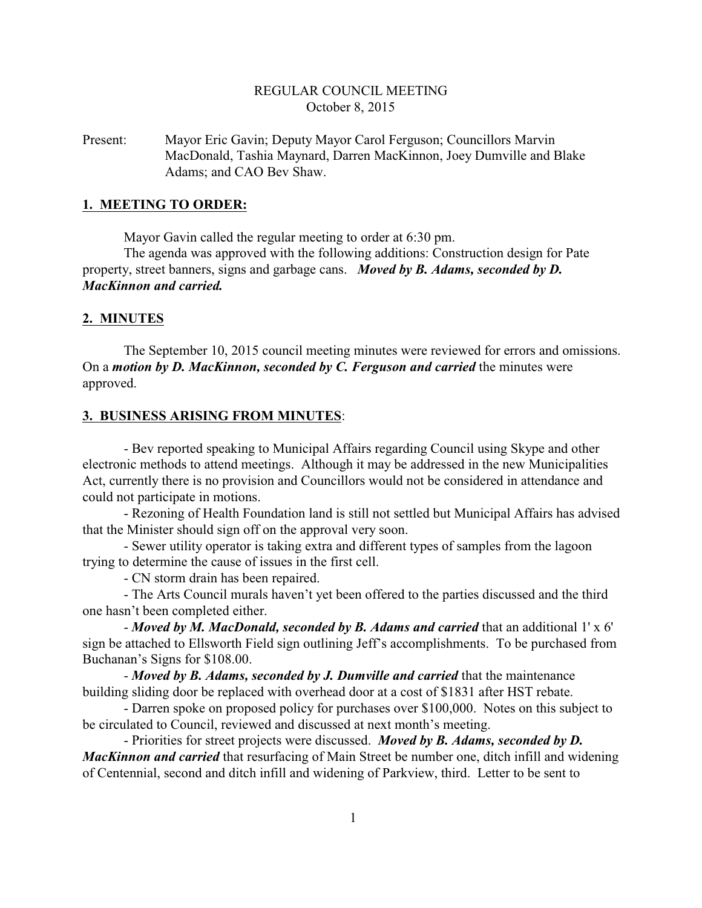# REGULAR COUNCIL MEETING October 8, 2015

Present: Mayor Eric Gavin; Deputy Mayor Carol Ferguson; Councillors Marvin MacDonald, Tashia Maynard, Darren MacKinnon, Joey Dumville and Blake Adams; and CAO Bev Shaw.

# **1. MEETING TO ORDER:**

Mayor Gavin called the regular meeting to order at 6:30 pm.

The agenda was approved with the following additions: Construction design for Pate property, street banners, signs and garbage cans. *Moved by B. Adams, seconded by D. MacKinnon and carried.*

#### **2. MINUTES**

The September 10, 2015 council meeting minutes were reviewed for errors and omissions. On a *motion by D. MacKinnon, seconded by C. Ferguson and carried* the minutes were approved.

# **3. BUSINESS ARISING FROM MINUTES**:

- Bev reported speaking to Municipal Affairs regarding Council using Skype and other electronic methods to attend meetings. Although it may be addressed in the new Municipalities Act, currently there is no provision and Councillors would not be considered in attendance and could not participate in motions.

- Rezoning of Health Foundation land is still not settled but Municipal Affairs has advised that the Minister should sign off on the approval very soon.

- Sewer utility operator is taking extra and different types of samples from the lagoon trying to determine the cause of issues in the first cell.

- CN storm drain has been repaired.

- The Arts Council murals haven't yet been offered to the parties discussed and the third one hasn't been completed either.

- *Moved by M. MacDonald, seconded by B. Adams and carried* that an additional 1' x 6' sign be attached to Ellsworth Field sign outlining Jeff's accomplishments. To be purchased from Buchanan's Signs for \$108.00.

- *Moved by B. Adams, seconded by J. Dumville and carried* that the maintenance building sliding door be replaced with overhead door at a cost of \$1831 after HST rebate.

- Darren spoke on proposed policy for purchases over \$100,000. Notes on this subject to be circulated to Council, reviewed and discussed at next month's meeting.

- Priorities for street projects were discussed. *Moved by B. Adams, seconded by D. MacKinnon and carried* that resurfacing of Main Street be number one, ditch infill and widening of Centennial, second and ditch infill and widening of Parkview, third. Letter to be sent to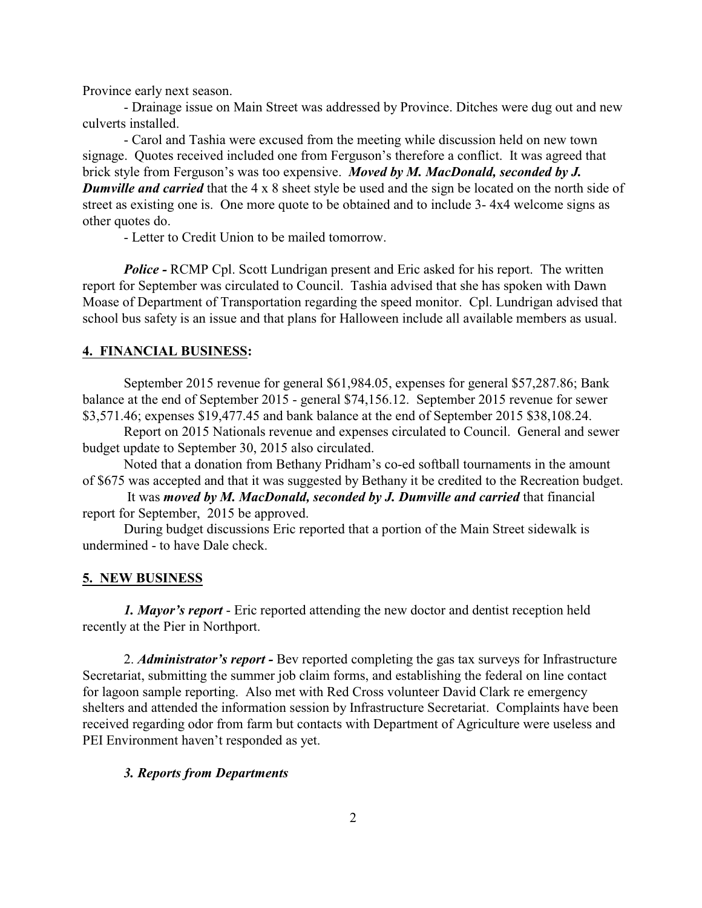Province early next season.

- Drainage issue on Main Street was addressed by Province. Ditches were dug out and new culverts installed.

- Carol and Tashia were excused from the meeting while discussion held on new town signage. Quotes received included one from Ferguson's therefore a conflict. It was agreed that brick style from Ferguson's was too expensive. *Moved by M. MacDonald, seconded by J. Dumville and carried* that the 4 x 8 sheet style be used and the sign be located on the north side of street as existing one is. One more quote to be obtained and to include 3- 4x4 welcome signs as other quotes do.

- Letter to Credit Union to be mailed tomorrow.

*Police -* RCMP Cpl. Scott Lundrigan present and Eric asked for his report. The written report for September was circulated to Council. Tashia advised that she has spoken with Dawn Moase of Department of Transportation regarding the speed monitor. Cpl. Lundrigan advised that school bus safety is an issue and that plans for Halloween include all available members as usual.

#### **4. FINANCIAL BUSINESS:**

September 2015 revenue for general \$61,984.05, expenses for general \$57,287.86; Bank balance at the end of September 2015 - general \$74,156.12. September 2015 revenue for sewer \$3,571.46; expenses \$19,477.45 and bank balance at the end of September 2015 \$38,108.24.

Report on 2015 Nationals revenue and expenses circulated to Council. General and sewer budget update to September 30, 2015 also circulated.

Noted that a donation from Bethany Pridham's co-ed softball tournaments in the amount of \$675 was accepted and that it was suggested by Bethany it be credited to the Recreation budget.

 It was *moved by M. MacDonald, seconded by J. Dumville and carried* that financial report for September, 2015 be approved.

During budget discussions Eric reported that a portion of the Main Street sidewalk is undermined - to have Dale check.

#### **5. NEW BUSINESS**

*1. Mayor's report* - Eric reported attending the new doctor and dentist reception held recently at the Pier in Northport.

2. *Administrator's report -* Bev reported completing the gas tax surveys for Infrastructure Secretariat, submitting the summer job claim forms, and establishing the federal on line contact for lagoon sample reporting. Also met with Red Cross volunteer David Clark re emergency shelters and attended the information session by Infrastructure Secretariat. Complaints have been received regarding odor from farm but contacts with Department of Agriculture were useless and PEI Environment haven't responded as yet.

# *3. Reports from Departments*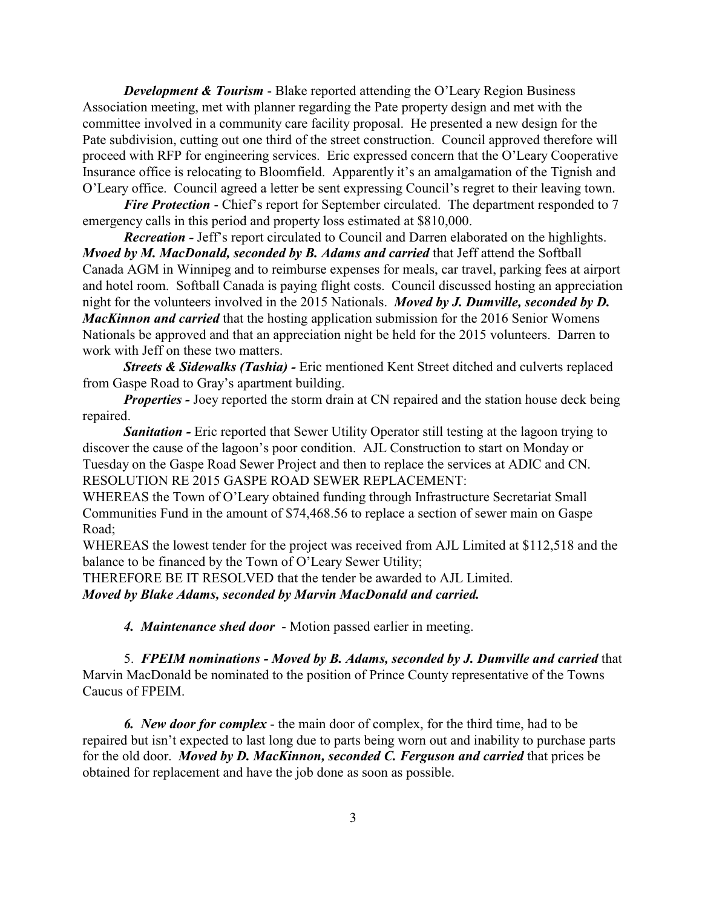*Development & Tourism* - Blake reported attending the O'Leary Region Business Association meeting, met with planner regarding the Pate property design and met with the committee involved in a community care facility proposal. He presented a new design for the Pate subdivision, cutting out one third of the street construction. Council approved therefore will proceed with RFP for engineering services. Eric expressed concern that the O'Leary Cooperative Insurance office is relocating to Bloomfield. Apparently it's an amalgamation of the Tignish and O'Leary office. Council agreed a letter be sent expressing Council's regret to their leaving town.

*Fire Protection* - Chief's report for September circulated. The department responded to 7 emergency calls in this period and property loss estimated at \$810,000.

*Recreation -* Jeff's report circulated to Council and Darren elaborated on the highlights. *Mvoed by M. MacDonald, seconded by B. Adams and carried* that Jeff attend the Softball Canada AGM in Winnipeg and to reimburse expenses for meals, car travel, parking fees at airport and hotel room. Softball Canada is paying flight costs. Council discussed hosting an appreciation night for the volunteers involved in the 2015 Nationals. *Moved by J. Dumville, seconded by D. MacKinnon and carried* that the hosting application submission for the 2016 Senior Womens Nationals be approved and that an appreciation night be held for the 2015 volunteers. Darren to work with Jeff on these two matters.

*Streets & Sidewalks (Tashia) -* Eric mentioned Kent Street ditched and culverts replaced from Gaspe Road to Gray's apartment building.

*Properties -* Joey reported the storm drain at CN repaired and the station house deck being repaired.

**Sanitation -** Eric reported that Sewer Utility Operator still testing at the lagoon trying to discover the cause of the lagoon's poor condition. AJL Construction to start on Monday or Tuesday on the Gaspe Road Sewer Project and then to replace the services at ADIC and CN. RESOLUTION RE 2015 GASPE ROAD SEWER REPLACEMENT:

WHEREAS the Town of O'Leary obtained funding through Infrastructure Secretariat Small Communities Fund in the amount of \$74,468.56 to replace a section of sewer main on Gaspe Road;

WHEREAS the lowest tender for the project was received from AJL Limited at \$112,518 and the balance to be financed by the Town of O'Leary Sewer Utility;

THEREFORE BE IT RESOLVED that the tender be awarded to AJL Limited.

*Moved by Blake Adams, seconded by Marvin MacDonald and carried.*

*4. Maintenance shed door* - Motion passed earlier in meeting.

5. *FPEIM nominations - Moved by B. Adams, seconded by J. Dumville and carried* that Marvin MacDonald be nominated to the position of Prince County representative of the Towns Caucus of FPEIM.

*6. New door for complex* - the main door of complex, for the third time, had to be repaired but isn't expected to last long due to parts being worn out and inability to purchase parts for the old door. *Moved by D. MacKinnon, seconded C. Ferguson and carried* that prices be obtained for replacement and have the job done as soon as possible.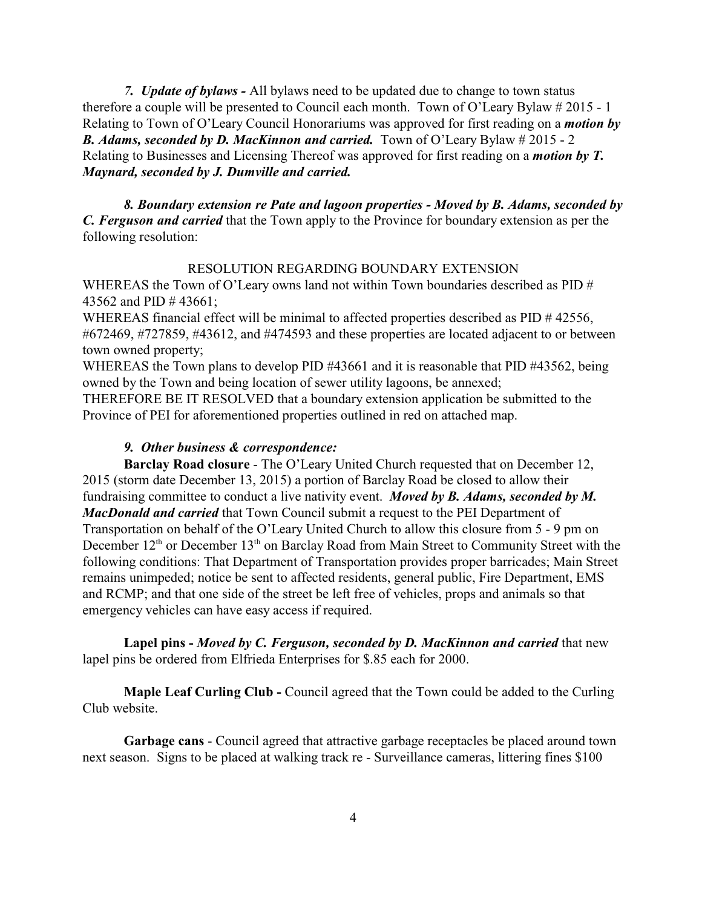*7. Update of bylaws -* All bylaws need to be updated due to change to town status therefore a couple will be presented to Council each month. Town of O'Leary Bylaw # 2015 - 1 Relating to Town of O'Leary Council Honorariums was approved for first reading on a *motion by B. Adams, seconded by D. MacKinnon and carried.* Town of O'Leary Bylaw # 2015 - 2 Relating to Businesses and Licensing Thereof was approved for first reading on a *motion by T. Maynard, seconded by J. Dumville and carried.*

*8. Boundary extension re Pate and lagoon properties - Moved by B. Adams, seconded by C. Ferguson and carried* that the Town apply to the Province for boundary extension as per the following resolution:

# RESOLUTION REGARDING BOUNDARY EXTENSION

WHEREAS the Town of O'Leary owns land not within Town boundaries described as  $PID #$ 43562 and PID # 43661;

WHEREAS financial effect will be minimal to affected properties described as PID #42556, #672469, #727859, #43612, and #474593 and these properties are located adjacent to or between town owned property;

WHEREAS the Town plans to develop PID #43661 and it is reasonable that PID #43562, being owned by the Town and being location of sewer utility lagoons, be annexed;

THEREFORE BE IT RESOLVED that a boundary extension application be submitted to the Province of PEI for aforementioned properties outlined in red on attached map.

# *9. Other business & correspondence:*

**Barclay Road closure** - The O'Leary United Church requested that on December 12, 2015 (storm date December 13, 2015) a portion of Barclay Road be closed to allow their fundraising committee to conduct a live nativity event. *Moved by B. Adams, seconded by M. MacDonald and carried* that Town Council submit a request to the PEI Department of Transportation on behalf of the O'Leary United Church to allow this closure from 5 - 9 pm on December  $12<sup>th</sup>$  or December  $13<sup>th</sup>$  on Barclay Road from Main Street to Community Street with the following conditions: That Department of Transportation provides proper barricades; Main Street remains unimpeded; notice be sent to affected residents, general public, Fire Department, EMS and RCMP; and that one side of the street be left free of vehicles, props and animals so that emergency vehicles can have easy access if required.

**Lapel pins -** *Moved by C. Ferguson, seconded by D. MacKinnon and carried* that new lapel pins be ordered from Elfrieda Enterprises for \$.85 each for 2000.

**Maple Leaf Curling Club -** Council agreed that the Town could be added to the Curling Club website.

**Garbage cans** - Council agreed that attractive garbage receptacles be placed around town next season. Signs to be placed at walking track re - Surveillance cameras, littering fines \$100